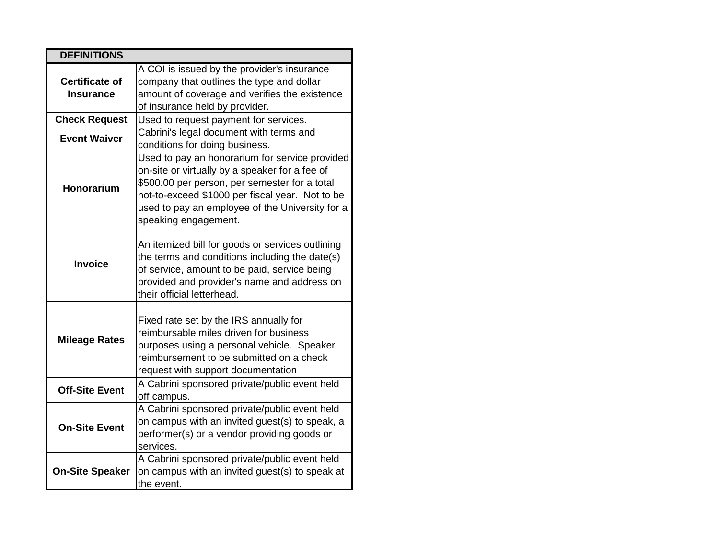| <b>DEFINITIONS</b>                 |                                                                                                                                                                                                                                                                                 |
|------------------------------------|---------------------------------------------------------------------------------------------------------------------------------------------------------------------------------------------------------------------------------------------------------------------------------|
| <b>Certificate of</b><br>Insurance | A COI is issued by the provider's insurance<br>company that outlines the type and dollar<br>amount of coverage and verifies the existence<br>of insurance held by provider.                                                                                                     |
| <b>Check Request</b>               | Used to request payment for services.                                                                                                                                                                                                                                           |
| <b>Event Waiver</b>                | Cabrini's legal document with terms and<br>conditions for doing business.                                                                                                                                                                                                       |
| Honorarium                         | Used to pay an honorarium for service provided<br>on-site or virtually by a speaker for a fee of<br>\$500.00 per person, per semester for a total<br>not-to-exceed \$1000 per fiscal year. Not to be<br>used to pay an employee of the University for a<br>speaking engagement. |
| <b>Invoice</b>                     | An itemized bill for goods or services outlining<br>the terms and conditions including the date(s)<br>of service, amount to be paid, service being<br>provided and provider's name and address on<br>their official letterhead.                                                 |
| <b>Mileage Rates</b>               | Fixed rate set by the IRS annually for<br>reimbursable miles driven for business<br>purposes using a personal vehicle. Speaker<br>reimbursement to be submitted on a check<br>request with support documentation                                                                |
| <b>Off-Site Event</b>              | A Cabrini sponsored private/public event held<br>off campus.                                                                                                                                                                                                                    |
| <b>On-Site Event</b>               | A Cabrini sponsored private/public event held<br>on campus with an invited guest(s) to speak, a<br>performer(s) or a vendor providing goods or<br>services.                                                                                                                     |
| <b>On-Site Speaker</b>             | A Cabrini sponsored private/public event held<br>on campus with an invited guest(s) to speak at<br>the event.                                                                                                                                                                   |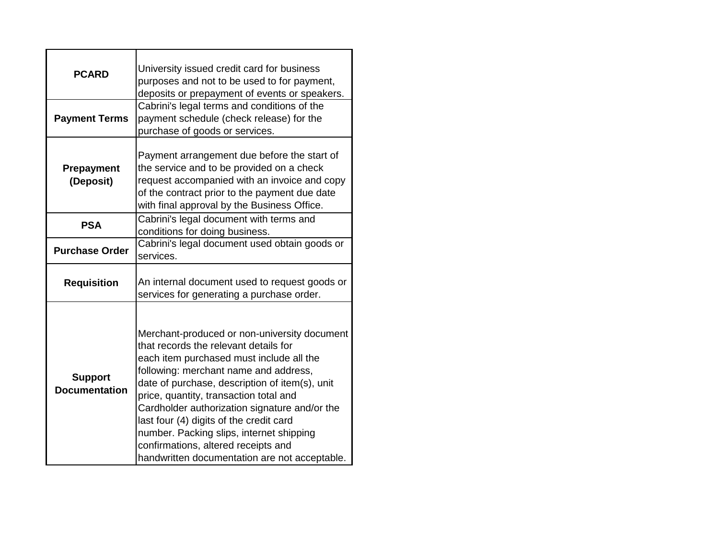| <b>PCARD</b>                           | University issued credit card for business<br>purposes and not to be used to for payment,<br>deposits or prepayment of events or speakers.                                                                                                                                                                                                                                                                                                                                                             |
|----------------------------------------|--------------------------------------------------------------------------------------------------------------------------------------------------------------------------------------------------------------------------------------------------------------------------------------------------------------------------------------------------------------------------------------------------------------------------------------------------------------------------------------------------------|
| <b>Payment Terms</b>                   | Cabrini's legal terms and conditions of the<br>payment schedule (check release) for the<br>purchase of goods or services.                                                                                                                                                                                                                                                                                                                                                                              |
| <b>Prepayment</b><br>(Deposit)         | Payment arrangement due before the start of<br>the service and to be provided on a check<br>request accompanied with an invoice and copy<br>of the contract prior to the payment due date<br>with final approval by the Business Office.                                                                                                                                                                                                                                                               |
| <b>PSA</b>                             | Cabrini's legal document with terms and<br>conditions for doing business.                                                                                                                                                                                                                                                                                                                                                                                                                              |
| <b>Purchase Order</b>                  | Cabrini's legal document used obtain goods or<br>services.                                                                                                                                                                                                                                                                                                                                                                                                                                             |
| <b>Requisition</b>                     | An internal document used to request goods or<br>services for generating a purchase order.                                                                                                                                                                                                                                                                                                                                                                                                             |
| <b>Support</b><br><b>Documentation</b> | Merchant-produced or non-university document<br>that records the relevant details for<br>each item purchased must include all the<br>following: merchant name and address,<br>date of purchase, description of item(s), unit<br>price, quantity, transaction total and<br>Cardholder authorization signature and/or the<br>last four (4) digits of the credit card<br>number. Packing slips, internet shipping<br>confirmations, altered receipts and<br>handwritten documentation are not acceptable. |